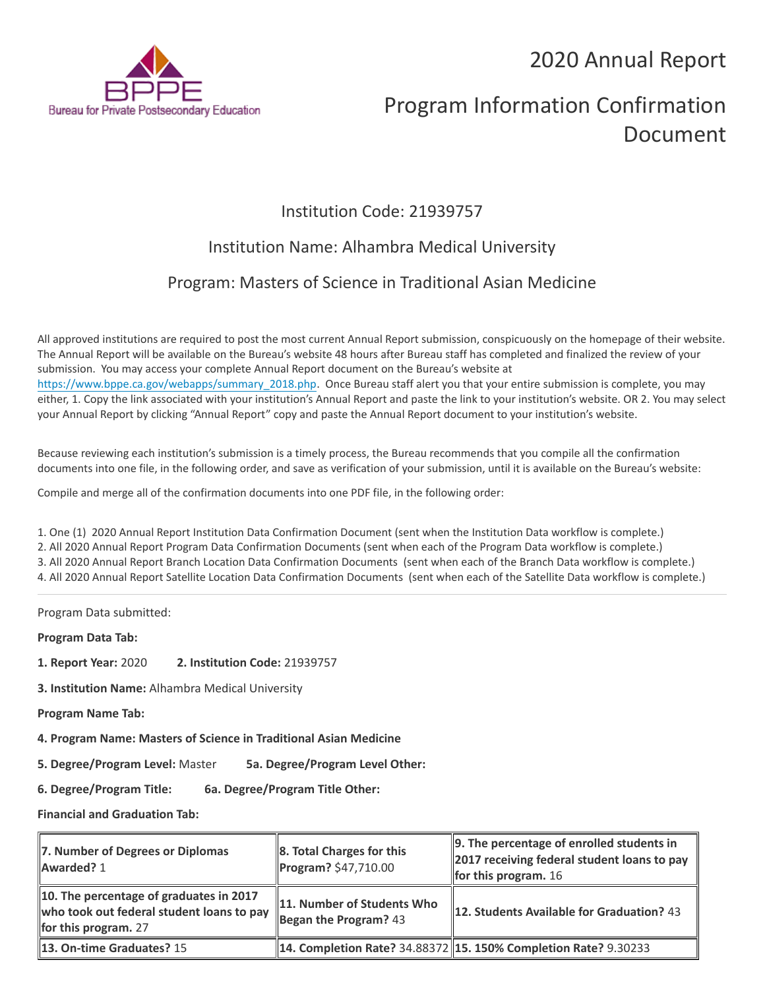## 2020 Annual Report



# Program Information Confirmation Document

### Institution Code: 21939757

### Institution Name: Alhambra Medical University

### Program: Masters of Science in Traditional Asian Medicine

All approved institutions are required to post the most current Annual Report submission, conspicuously on the homepage of their website. The Annual Report will be available on the Bureau's website 48 hours after Bureau staff has completed and finalized the review of your submission. You may access your complete Annual Report document on the Bureau's website at [https://www.bppe.ca.gov/webapps/summary\\_2018.php.](https://www.bppe.ca.gov/webapps/summary_2018.php) Once Bureau staff alert you that your entire submission is complete, you may either, 1. Copy the link associated with your institution's Annual Report and paste the link to your institution's website. OR 2. You may select your Annual Report by clicking "Annual Report" copy and paste the Annual Report document to your institution's website.

Because reviewing each institution's submission is a timely process, the Bureau recommends that you compile all the confirmation documents into one file, in the following order, and save as verification of your submission, until it is available on the Bureau's website:

Compile and merge all of the confirmation documents into one PDF file, in the following order:

1. One (1) 2020 Annual Report Institution Data Confirmation Document (sent when the Institution Data workflow is complete.) 2. All 2020 Annual Report Program Data Confirmation Documents (sent when each of the Program Data workflow is complete.) 3. All 2020 Annual Report Branch Location Data Confirmation Documents (sent when each of the Branch Data workflow is complete.) 4. All 2020 Annual Report Satellite Location Data Confirmation Documents (sent when each of the Satellite Data workflow is complete.)

Program Data submitted:

**Program Data Tab:**

- **1. Report Year:** 2020 **2. Institution Code:** 21939757
- **3. Institution Name:** Alhambra Medical University
- **Program Name Tab:**
- **4. Program Name: Masters of Science in Traditional Asian Medicine**
- **5. Degree/Program Level:** Master **5a. Degree/Program Level Other:**
- **6. Degree/Program Title: 6a. Degree/Program Title Other:**

**Financial and Graduation Tab:**

| 7. Number of Degrees or Diplomas<br>Awarded? 1                                                                 | $\ 8.$ Total Charges for this<br>Program? \$47,710.00 | $\parallel$ 9. The percentage of enrolled students in<br>2017 receiving federal student loans to pay<br>for this program. $16$ |
|----------------------------------------------------------------------------------------------------------------|-------------------------------------------------------|--------------------------------------------------------------------------------------------------------------------------------|
| 10. The percentage of graduates in 2017<br>who took out federal student loans to pay<br>for this program. $27$ | 11. Number of Students Who<br>Began the Program? $43$ | <b>12. Students Available for Graduation?</b> 43                                                                               |
| 13. On-time Graduates? 15                                                                                      |                                                       | <b>14. Completion Rate? 34.88372 15. 150% Completion Rate? 9.30233</b>                                                         |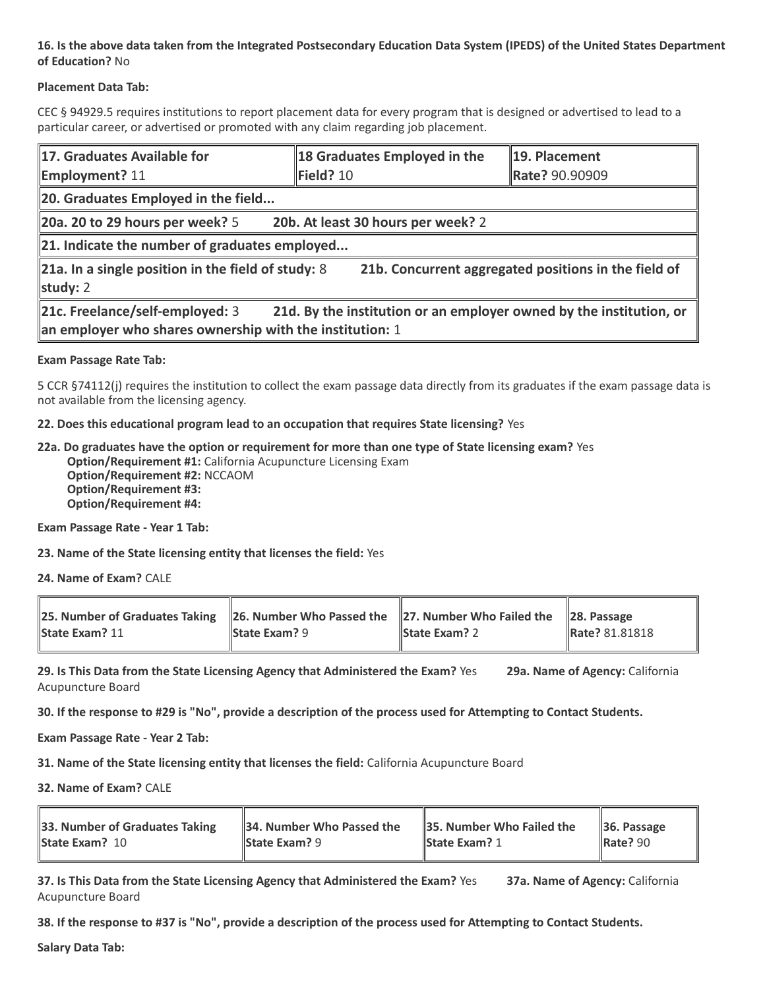### **16. Is the above data taken from the Integrated Postsecondary Education Data System (IPEDS) of the United States Department of Education?** No

#### **Placement Data Tab:**

CEC § 94929.5 requires institutions to report placement data for every program that is designed or advertised to lead to a particular career, or advertised or promoted with any claim regarding job placement.

| 17. Graduates Available for<br><b>Employment?</b> 11                                                                                                                 | 18 Graduates Employed in the<br>Field? 10 | 19. Placement<br>Rate? 90.90909 |  |  |
|----------------------------------------------------------------------------------------------------------------------------------------------------------------------|-------------------------------------------|---------------------------------|--|--|
| 20. Graduates Employed in the field                                                                                                                                  |                                           |                                 |  |  |
| $\vert$ 20a. 20 to 29 hours per week? 5<br>20b. At least 30 hours per week? 2                                                                                        |                                           |                                 |  |  |
| $\ $ 21. Indicate the number of graduates employed                                                                                                                   |                                           |                                 |  |  |
| 21b. Concurrent aggregated positions in the field of<br>$\ $ 21a. In a single position in the field of study: 8<br>study: $2$                                        |                                           |                                 |  |  |
| 21c. Freelance/self-employed: 3<br>21d. By the institution or an employer owned by the institution, or<br>an employer who shares ownership with the institution: $1$ |                                           |                                 |  |  |

#### **Exam Passage Rate Tab:**

5 CCR §74112(j) requires the institution to collect the exam passage data directly from its graduates if the exam passage data is not available from the licensing agency.

#### **22. Does this educational program lead to an occupation that requires State licensing?** Yes

**22a. Do graduates have the option or requirement for more than one type of State licensing exam?** Yes **Option/Requirement #1:** California Acupuncture Licensing Exam **Option/Requirement #2:** NCCAOM **Option/Requirement #3: Option/Requirement #4:**

**Exam Passage Rate - Year 1 Tab:**

**23. Name of the State licensing entity that licenses the field:** Yes

**24. Name of Exam?** CALE

| 25. Number of Graduates Taking 26. Number Who Passed the 27. Number Who Failed the 28. Passage |                      |                      |                |
|------------------------------------------------------------------------------------------------|----------------------|----------------------|----------------|
| <b>State Exam? 11</b>                                                                          | <b>State Exam?</b> 9 | <b>State Exam?</b> 2 | Rate? 81.81818 |

**29. Is This Data from the State Licensing Agency that Administered the Exam?** Yes **29a. Name of Agency:** California Acupuncture Board

**30. If the response to #29 is "No", provide a description of the process used for Attempting to Contact Students.**

**Exam Passage Rate - Year 2 Tab:**

**31. Name of the State licensing entity that licenses the field:** California Acupuncture Board

**32. Name of Exam?** CALE

| 33. Number of Graduates Taking | $\parallel$ 34. Number Who Passed the | 35. Number Who Failed the | $\parallel$ 36. Passage |
|--------------------------------|---------------------------------------|---------------------------|-------------------------|
| <b>State Exam? 10</b>          | <b>State Exam?</b> 9                  | <b>State Exam? 1</b>      | $\parallel$ Rate? 90    |
|                                |                                       |                           |                         |

**37. Is This Data from the State Licensing Agency that Administered the Exam?** Yes **37a. Name of Agency:** California Acupuncture Board

**38. If the response to #37 is "No", provide a description of the process used for Attempting to Contact Students.** 

**Salary Data Tab:**